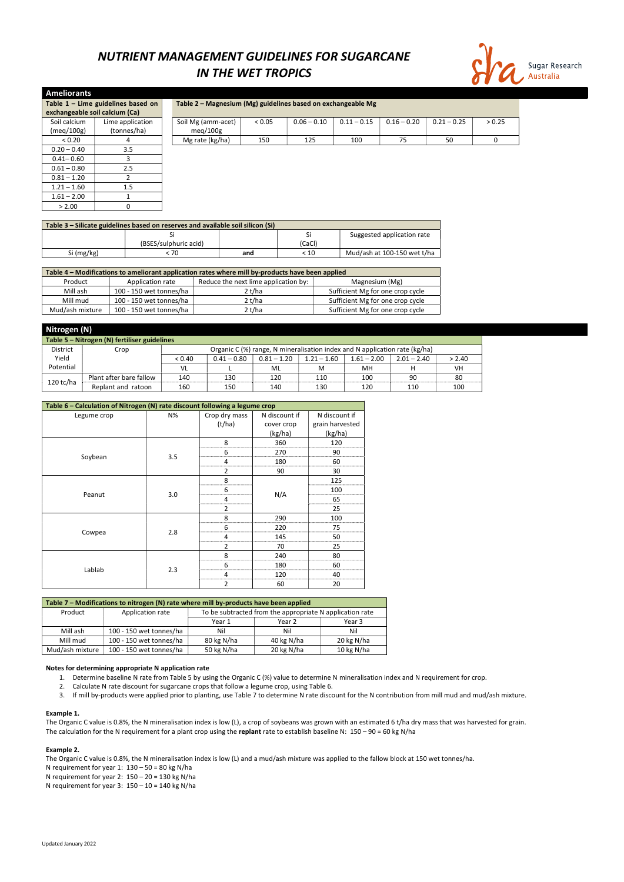Updated January 2022

# NUTRIENT MANAGEMENT GUIDELINES FOR SUGARCANE IN THE WET TROPICS



| <b>Ameliorants</b>             |                                      |                                                              |        |               |               |               |               |        |  |  |
|--------------------------------|--------------------------------------|--------------------------------------------------------------|--------|---------------|---------------|---------------|---------------|--------|--|--|
|                                | Table $1$ – Lime guidelines based on | Table 2 - Magnesium (Mg) guidelines based on exchangeable Mg |        |               |               |               |               |        |  |  |
| exchangeable soil calcium (Ca) |                                      |                                                              |        |               |               |               |               |        |  |  |
| Soil calcium<br>(meq/100g)     | Lime application<br>(tonnes/ha)      | Soil Mg (amm-acet)<br>meq/100g                               | < 0.05 | $0.06 - 0.10$ | $0.11 - 0.15$ | $0.16 - 0.20$ | $0.21 - 0.25$ | > 0.25 |  |  |
| < 0.20                         | 4                                    | Mg rate (kg/ha)                                              | 150    | 125           | 100           | 75            | 50            | 0      |  |  |
| $0.20 - 0.40$                  | 3.5                                  |                                                              |        |               |               |               |               |        |  |  |
| $0.41 - 0.60$                  |                                      |                                                              |        |               |               |               |               |        |  |  |
| $0.61 - 0.80$                  | 2.5                                  |                                                              |        |               |               |               |               |        |  |  |
| $0.81 - 1.20$                  |                                      |                                                              |        |               |               |               |               |        |  |  |
| $1.21 - 1.60$                  | 1.5                                  |                                                              |        |               |               |               |               |        |  |  |
| $1.61 - 2.00$                  |                                      |                                                              |        |               |               |               |               |        |  |  |
| > 2.00                         |                                      |                                                              |        |               |               |               |               |        |  |  |

| Table 3 – Silicate guidelines based on reserves and available soil silicon (Si) |                       |     |        |                             |  |  |  |  |  |
|---------------------------------------------------------------------------------|-----------------------|-----|--------|-----------------------------|--|--|--|--|--|
|                                                                                 |                       |     | Si     | Suggested application rate  |  |  |  |  |  |
|                                                                                 | (BSES/sulphuric acid) |     | (CaCl) |                             |  |  |  |  |  |
| Si (mg/kg)                                                                      | : 70                  | and | < 10   | Mud/ash at 100-150 wet t/ha |  |  |  |  |  |

| Table 4 - Modifications to ameliorant application rates where mill by-products have been applied |                         |                                      |                                  |  |  |  |  |  |  |
|--------------------------------------------------------------------------------------------------|-------------------------|--------------------------------------|----------------------------------|--|--|--|--|--|--|
| Product                                                                                          | Application rate        | Reduce the next lime application by: | Magnesium (Mg)                   |  |  |  |  |  |  |
| Mill ash                                                                                         | 100 - 150 wet tonnes/ha | 2t/ha                                | Sufficient Mg for one crop cycle |  |  |  |  |  |  |
| Mill mud                                                                                         | 100 - 150 wet tonnes/ha | 2 t/ha                               | Sufficient Mg for one crop cycle |  |  |  |  |  |  |
| Mud/ash mixture                                                                                  | 100 - 150 wet tonnes/ha | 2 t/ha                               | Sufficient Mg for one crop cycle |  |  |  |  |  |  |

|                                              | Nitrogen (N)            |        |               |               |                                                                            |               |               |        |  |  |  |
|----------------------------------------------|-------------------------|--------|---------------|---------------|----------------------------------------------------------------------------|---------------|---------------|--------|--|--|--|
| Table 5 - Nitrogen (N) fertiliser guidelines |                         |        |               |               |                                                                            |               |               |        |  |  |  |
| <b>District</b>                              | Crop                    |        |               |               | Organic C (%) range, N mineralisation index and N application rate (kg/ha) |               |               |        |  |  |  |
| Yield                                        |                         | < 0.40 | $0.41 - 0.80$ | $0.81 - 1.20$ | $1.21 - 1.60$                                                              | $1.61 - 2.00$ | $2.01 - 2.40$ | > 2.40 |  |  |  |
| Potential                                    |                         | VL     |               | ML            | M                                                                          | MН            |               | VH     |  |  |  |
|                                              | Plant after bare fallow | 140    | 130           | 120           | 110                                                                        | 100           | 90            | 80     |  |  |  |
| 120 tc/ha                                    | Replant and ratoon      | 160    | 150           | 140           | 130                                                                        | 120           | 110           | 100    |  |  |  |

The Organic C value is 0.8%, the N mineralisation index is low (L), a crop of soybeans was grown with an estimated 6 t/ha dry mass that was harvested for grain. The calculation for the N requirement for a plant crop using the replant rate to establish baseline N:  $150 - 90 = 60$  kg N/ha

The Organic C value is 0.8%, the N mineralisation index is low (L) and a mud/ash mixture was applied to the fallow block at 150 wet tonnes/ha. N requirement for year 1:  $130 - 50 = 80$  kg N/ha N requirement for year 2: 150 – 20 = 130 kg N/ha N requirement for year  $3: 150 - 10 = 140$  kg N/ha

| Table 6 - Calculation of Nitrogen (N) rate discount following a legume crop |     |                |               |                 |
|-----------------------------------------------------------------------------|-----|----------------|---------------|-----------------|
| Legume crop                                                                 | N%  | Crop dry mass  | N discount if | N discount if   |
|                                                                             |     | (t/ha)         | cover crop    | grain harvested |
|                                                                             |     |                | (kg/ha)       | (kg/ha)         |
|                                                                             |     | 8              | 360           | 120             |
|                                                                             |     | 6              | 270           | 90              |
| Soybean                                                                     | 3.5 | 4              | 180           | 60              |
|                                                                             |     | $\overline{2}$ | 90            | 30              |
|                                                                             |     | 8              |               | 125             |
|                                                                             |     | 6              |               | 100             |
| Peanut                                                                      | 3.0 | 4              | N/A           | 65              |
|                                                                             |     | $\overline{2}$ |               | 25              |
|                                                                             |     | 8              | 290           | 100             |
|                                                                             |     | 6              | 220           | 75              |
| Cowpea                                                                      | 2.8 | 4              | 145           | 50              |
|                                                                             |     | 2              | 70            | 25              |
|                                                                             |     | 8              | 240           | 80              |
|                                                                             |     | 6              | 180           | 60              |
| Lablab                                                                      | 2.3 | 4              | 120           | 40              |
|                                                                             |     | $\overline{2}$ | 60            | 20              |

| Table 7 - Modifications to nitrogen (N) rate where mill by-products have been applied |                                                                              |                            |            |            |  |  |  |  |
|---------------------------------------------------------------------------------------|------------------------------------------------------------------------------|----------------------------|------------|------------|--|--|--|--|
| Product                                                                               | To be subtracted from the appropriate N application rate<br>Application rate |                            |            |            |  |  |  |  |
|                                                                                       |                                                                              | Year 1<br>Year 2<br>Year 3 |            |            |  |  |  |  |
| Mill ash                                                                              | 100 - 150 wet tonnes/ha                                                      | Nil                        | Nil        | Nil        |  |  |  |  |
| Mill mud                                                                              | 100 - 150 wet tonnes/ha                                                      | 80 kg N/ha                 | 40 kg N/ha | 20 kg N/ha |  |  |  |  |
| Mud/ash mixture                                                                       | 100 - 150 wet tonnes/ha                                                      | 50 kg N/ha                 | 20 kg N/ha | 10 kg N/ha |  |  |  |  |

#### Notes for determining appropriate N application rate

- 1. Determine baseline N rate from Table 5 by using the Organic C (%) value to determine N mineralisation index and N requirement for crop.
- 2. Calculate N rate discount for sugarcane crops that follow a legume crop, using Table 6.
- 3. If mill by-products were applied prior to planting, use Table 7 to determine N rate discount for the N contribution from mill mud and mud/ash mixture.

### Example 1.

### Example 2.